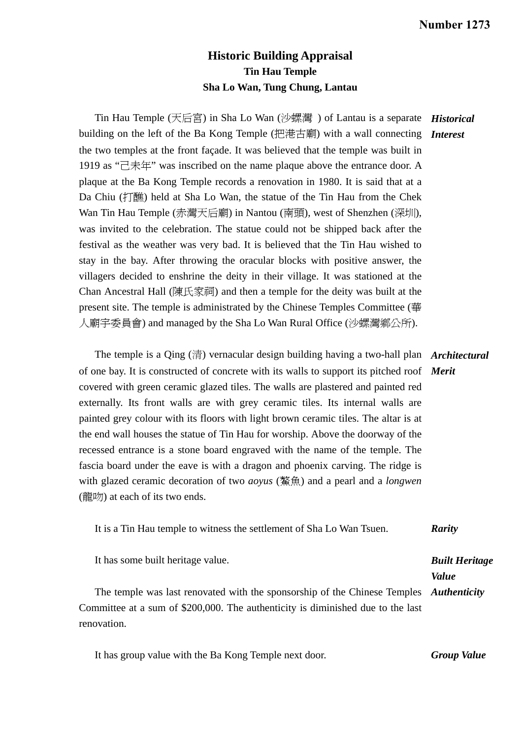## **Historic Building Appraisal Tin Hau Temple Sha Lo Wan, Tung Chung, Lantau**

Tin Hau Temple (天后宮) in Sha Lo Wan (沙螺灣 ) of Lantau is a separate *Historical*  building on the left of the Ba Kong Temple (把港古廟) with a wall connecting *Interest*  the two temples at the front façade. It was believed that the temple was built in 1919 as "己未年" was inscribed on the name plaque above the entrance door. A plaque at the Ba Kong Temple records a renovation in 1980. It is said that at a Da Chiu (打醮) held at Sha Lo Wan, the statue of the Tin Hau from the Chek Wan Tin Hau Temple (赤灣天后廟) in Nantou (南頭), west of Shenzhen (深圳), was invited to the celebration. The statue could not be shipped back after the festival as the weather was very bad. It is believed that the Tin Hau wished to stay in the bay. After throwing the oracular blocks with positive answer, the villagers decided to enshrine the deity in their village. It was stationed at the Chan Ancestral Hall (陳氏家祠) and then a temple for the deity was built at the present site. The temple is administrated by the Chinese Temples Committee (華 人廟宇委員會) and managed by the Sha Lo Wan Rural Office (沙螺灣鄉公所).

 The temple is a Qing (清) vernacular design building having a two-hall plan *Architectural*  of one bay. It is constructed of concrete with its walls to support its pitched roof *Merit*  covered with green ceramic glazed tiles. The walls are plastered and painted red externally. Its front walls are with grey ceramic tiles. Its internal walls are painted grey colour with its floors with light brown ceramic tiles. The altar is at the end wall houses the statue of Tin Hau for worship. Above the doorway of the recessed entrance is a stone board engraved with the name of the temple. The fascia board under the eave is with a dragon and phoenix carving. The ridge is with glazed ceramic decoration of two *aoyus* (鰲魚) and a pearl and a *longwen*  $($ 龍吻) at each of its two ends.

| It is a Tin Hau temple to witness the settlement of Sha Lo Wan Tsuen.                  | Rarity                |
|----------------------------------------------------------------------------------------|-----------------------|
| It has some built heritage value.                                                      | <b>Built Heritage</b> |
|                                                                                        | <i>Value</i>          |
| The temple was last renovated with the sponsorship of the Chinese Temples Authenticity |                       |
| Committee at a sum of \$200,000. The authenticity is diminished due to the last        |                       |
| renovation.                                                                            |                       |

 It has group value with the Ba Kong Temple next door. *Group Value*